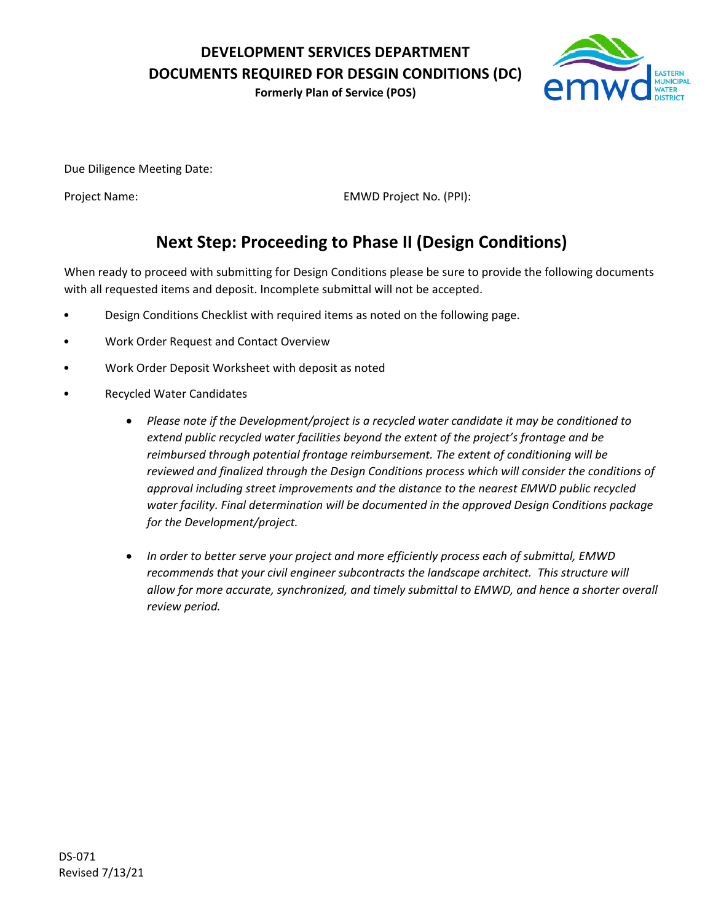**DEVELOPMENT SERVICES DEPARTMENT DOCUMENTS REQUIRED FOR DESGIN CONDITIONS (DC)**

**Formerly Plan of Service (POS)**



Due Diligence Meeting Date:

Project Name: EMWD Project No. (PPI):

## **Next Step: Proceeding to Phase II (Design Conditions)**

When ready to proceed with submitting for Design Conditions please be sure to provide the following documents with all requested items and deposit. Incomplete submittal will not be accepted.

- Design Conditions Checklist with required items as noted on the following page.
- Work Order Request and Contact Overview
- Work Order Deposit Worksheet with deposit as noted
- Recycled Water Candidates
	- *Please note if the Development/project is a recycled water candidate it may be conditioned to extend public recycled water facilities beyond the extent of the project's frontage and be reimbursed through potential frontage reimbursement. The extent of conditioning will be reviewed and finalized through the Design Conditions process which will consider the conditions of approval including street improvements and the distance to the nearest EMWD public recycled water facility. Final determination will be documented in the approved Design Conditions package for the Development/project.*
	- *In order to better serve your project and more efficiently process each of submittal, EMWD recommends that your civil engineer subcontracts the landscape architect. This structure will allow for more accurate, synchronized, and timely submittal to EMWD, and hence a shorter overall review period.*